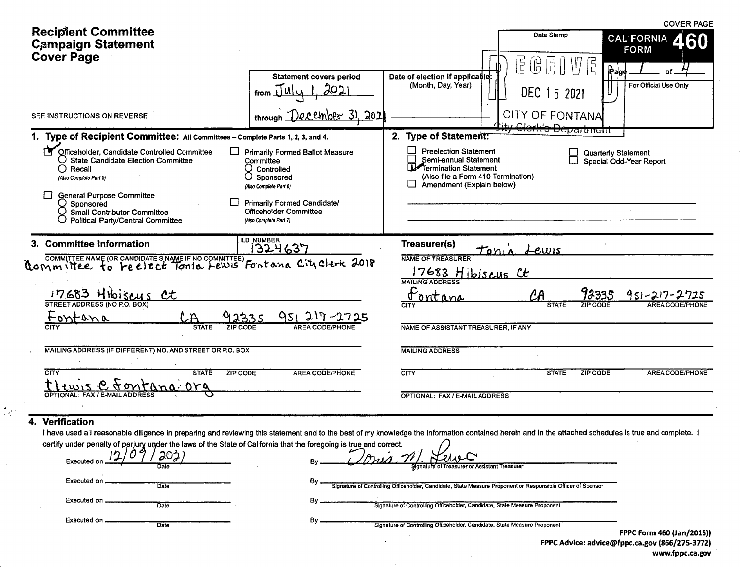|                                                                                                                                                                                                                                                                                        |                                                                                                                                                                                             |                                                                                                                                                   |                                                                            | <b>COVER PAGE</b>                                     |
|----------------------------------------------------------------------------------------------------------------------------------------------------------------------------------------------------------------------------------------------------------------------------------------|---------------------------------------------------------------------------------------------------------------------------------------------------------------------------------------------|---------------------------------------------------------------------------------------------------------------------------------------------------|----------------------------------------------------------------------------|-------------------------------------------------------|
| <b>Recipient Committee</b><br><b>Campaign Statement</b>                                                                                                                                                                                                                                |                                                                                                                                                                                             |                                                                                                                                                   | Date Stamp                                                                 | <b>CALIFORNIA</b><br><b>FORM</b>                      |
| <b>Cover Page</b>                                                                                                                                                                                                                                                                      |                                                                                                                                                                                             |                                                                                                                                                   | $\overline{5}$<br>$\begin{pmatrix} 0 \\ 0 \end{pmatrix}$<br>$\overline{P}$ | E<br> E                                               |
|                                                                                                                                                                                                                                                                                        | <b>Statement covers period</b>                                                                                                                                                              | Date of election if applicable:                                                                                                                   |                                                                            | $P$ age<br>of                                         |
|                                                                                                                                                                                                                                                                                        | from $\lfloor \underline{u} \rfloor$                                                                                                                                                        | (Month, Day, Year)                                                                                                                                | DEC 15 2021                                                                | For Official Use Only                                 |
| SEE INSTRUCTIONS ON REVERSE                                                                                                                                                                                                                                                            | December 31, 202<br>through                                                                                                                                                                 |                                                                                                                                                   | <b>CITY OF FONTANA</b><br>$\bigcap$                                        |                                                       |
| 1. Type of Recipient Committee: All Committees - Complete Parts 1, 2, 3, and 4.                                                                                                                                                                                                        |                                                                                                                                                                                             | 2. Type of Statement:                                                                                                                             |                                                                            | poparanchi                                            |
| r۲<br>Officeholder, Candidate Controlled Committee<br><b>State Candidate Election Committee</b><br>$\bigcirc$ Recall<br>Ő<br>(Also Complete Part 5)<br><b>General Purpose Committee</b><br>Sponsored<br><b>Small Contributor Committee</b><br><b>Political Party/Central Committee</b> | <b>Primarily Formed Ballot Measure</b><br>Committee<br>Controlled<br>Sponsored<br>(Also Complete Part 6)<br>Primarily Formed Candidate/<br>Officeholder Committee<br>(Also Complete Part 7) | <b>Preelection Statement</b><br>Semi-annual Statement<br>Termination Statement<br>(Also file a Form 410 Termination)<br>Amendment (Explain below) |                                                                            | <b>Quarterly Statement</b><br>Special Odd-Year Report |
| 3. Committee Information<br>COMMITTEE NAME (OR CANDIDATE'S NAME IF NO COMMITTEE) FOR TON A CITY CLEAR 2018                                                                                                                                                                             | <b>I.D. NUMBER</b><br>1324637                                                                                                                                                               | Treasurer(s)<br><b>NAME OF TREASURER</b><br>17683                                                                                                 | Lewis<br>$T_{011A}$                                                        |                                                       |
|                                                                                                                                                                                                                                                                                        |                                                                                                                                                                                             | Hibiscus Ct<br><b>MAILING ADDRESS</b><br>Fontana                                                                                                  |                                                                            | 12335<br>$951 - 217 - 2$                              |
| 17683 Hibiseus                                                                                                                                                                                                                                                                         |                                                                                                                                                                                             |                                                                                                                                                   | STATE                                                                      |                                                       |
| tontana<br>92335                                                                                                                                                                                                                                                                       | 951 217-2725                                                                                                                                                                                |                                                                                                                                                   |                                                                            |                                                       |
| <b>STATE</b><br>ZIP CODE                                                                                                                                                                                                                                                               | <b>AREA CODE/PHONE</b>                                                                                                                                                                      | NAME OF ASSISTANT TREASURER, IF ANY                                                                                                               |                                                                            |                                                       |
| MAILING ADDRESS (IF DIFFERENT) NO. AND STREET OR P.O. BOX                                                                                                                                                                                                                              |                                                                                                                                                                                             | <b>MAILING ADDRESS</b>                                                                                                                            |                                                                            |                                                       |
| CITY<br><b>STATE</b><br>ZIP CODE                                                                                                                                                                                                                                                       | <b>AREA CODE/PHONE</b>                                                                                                                                                                      | <b>CITY</b>                                                                                                                                       | <b>STATE</b>                                                               | <b>ZIP CODE</b><br><b>AREA CODE/PHONE</b>             |
| <b>FAX / E-MAIL ADDRESS</b><br><b>OPTIONAL</b>                                                                                                                                                                                                                                         |                                                                                                                                                                                             | OPTIONAL: FAX / E-MAIL ADDRESS                                                                                                                    |                                                                            |                                                       |
|                                                                                                                                                                                                                                                                                        |                                                                                                                                                                                             |                                                                                                                                                   |                                                                            |                                                       |
| Verification<br>4.<br>I have used all reasonable diligence in preparing and reviewing this statement and to the best of my knowledge the information contained herein and in the attached schedules is true and complete. I                                                            |                                                                                                                                                                                             |                                                                                                                                                   |                                                                            |                                                       |
| certify under penalty of perjury under the laws of the State of California that the foregoing is true and correct.                                                                                                                                                                     |                                                                                                                                                                                             |                                                                                                                                                   |                                                                            |                                                       |
| 202)<br>Executed<br>Date                                                                                                                                                                                                                                                               |                                                                                                                                                                                             | reasurer or Assistant Treasurer                                                                                                                   |                                                                            |                                                       |
| <b>Executed on</b><br>Date                                                                                                                                                                                                                                                             |                                                                                                                                                                                             | Signature of Controlling Officeholder, Candidate, State Measure Proponent or Responsible Officer of Sponsor                                       |                                                                            |                                                       |

 $\frac{1}{2}$ 

 $\mathcal{L}$ 

Executed on ...

Executed on ...

Date

Date

| Signature of Controlling Officeholder, Candidate, State Measure Proponent |  |  |
|---------------------------------------------------------------------------|--|--|
|                                                                           |  |  |

 $By -$ 

Signature of Controlling Officeholder, Candidate, State Measure Proponent

FPPC Form 460 (Jan/2016)) FPPC Advice: advice@fppc.ca.gov (866/275-3772)<br>www.fppc.ca.gov

## and the company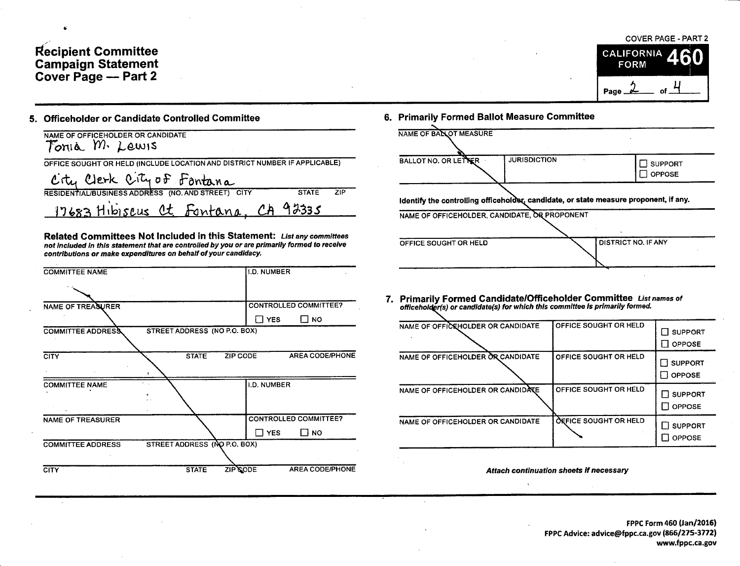## Recipient Committee<br>Campaign Statement<br>Cover Page — Part 2



## 5. Officeholder or Candidate Controlled Committee

| NAME OF OFFICEHOLDER OR CANDIDATE<br>Tonia M. Lewis                        |              |     |
|----------------------------------------------------------------------------|--------------|-----|
| OFFICE SOUGHT OR HELD (INCLUDE LOCATION AND DISTRICT NUMBER IF APPLICABLE) |              |     |
| City Clerk City of Fontana                                                 |              |     |
| RESIDENTIAL/BUSINESS ADDRESS (NO. AND STREET) CITY                         | <b>STATE</b> | ZIP |
| 17683 Hibiseus Ct. Fontana, CA 92335                                       |              |     |

Related Committees Not Included in this Statement: List any committees not included in this statement that are controlled by you or are primarily formed to receive contributions or make expenditures on behalf of your candidacy.

| <b>COMMITTEE NAME</b>    |                              | <b>I.D. NUMBER</b> |                              |
|--------------------------|------------------------------|--------------------|------------------------------|
|                          |                              |                    |                              |
| NAME OF TREASURER        |                              |                    | <b>CONTROLLED COMMITTEE?</b> |
|                          |                              | $\Box$ YES         | א ⊟                          |
| <b>COMMITTEE ADDRESS</b> | STREET ADDRESS (NO P.O. BOX) |                    |                              |
|                          |                              |                    |                              |
| <b>CITY</b>              | <b>STATE</b>                 | ZIP CODE           | <b>AREA CODE/PHONE</b>       |
|                          |                              |                    |                              |
| <b>COMMITTEE NAME</b>    |                              | <b>I.D. NUMBER</b> |                              |
|                          |                              |                    |                              |
|                          |                              |                    |                              |
| <b>NAME OF TREASURER</b> |                              |                    | <b>CONTROLLED COMMITTEE?</b> |
|                          |                              | Π YES              | Г1 но                        |
| <b>COMMITTEE ADDRESS</b> | STREET ADDRESS (NO P.O. BOX) |                    |                              |
|                          |                              |                    |                              |
| <b>CITY</b>              | <b>STATE</b>                 | ZIP CODE           | <b>AREA CODE/PHONE</b>       |
|                          |                              |                    |                              |

6. Primarily Formed Ballot Measure Committee

| NAME OF BALLOT MEASURE                        |                     |                                                                                       |
|-----------------------------------------------|---------------------|---------------------------------------------------------------------------------------|
| BALLOT NO. OR LETTER                          | <b>JURISDICTION</b> | <b>SUPPORT</b><br><b>OPPOSE</b>                                                       |
| NAME OF OFFICEHOLDER, CANDIDATE, OR PROPONENT |                     | Identify the controlling officeholder, candidate, or state measure proponent, if any. |
| OFFICE SOUGHT OR HELD                         |                     | DISTRICT NO. IF ANY                                                                   |

7. Primarily Formed Candidate/Officeholder Committee List names of officeholder(s) or candidate(s) for which this committee is primarily formed.

| NAME OF OFFICEHOLDER OR CANDIDATE | OFFICE SOUGHT OR HELD | $\Box$ support<br><b>OPPOSE</b> |
|-----------------------------------|-----------------------|---------------------------------|
| NAME OF OFFICEHOLDER OR CANDIDATE | OFFICE SOUGHT OR HELD | SUPPORT<br><b>OPPOSE</b>        |
| NAME OF OFFICEHOLDER OR CANDIDATE | OFFICE SOUGHT OR HELD | $\Box$ support<br><b>OPPOSE</b> |
| NAME OF OFFICEHOLDER OR CANDIDATE | OFFICE SOUGHT OR HELD | $\Box$ support<br><b>OPPOSE</b> |

Attach continuation sheets if necessary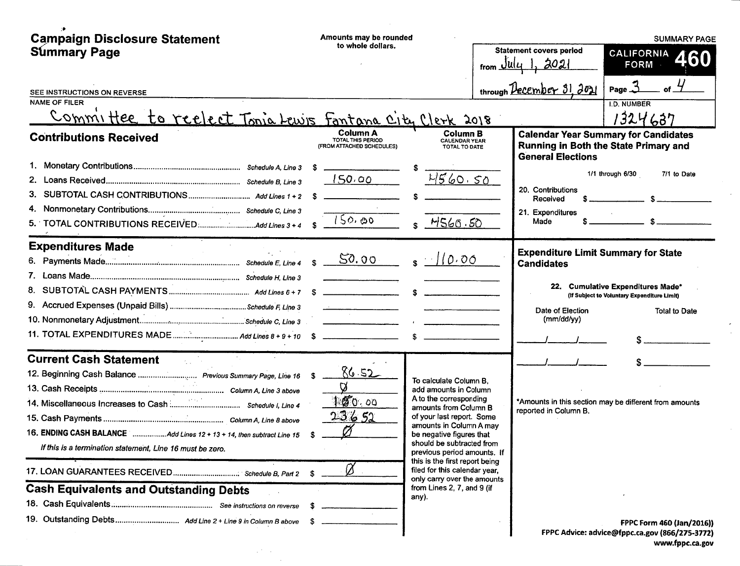| <b>Campaign Disclosure Statement</b><br><b>Summary Page</b>                                    | Amounts may be rounded<br>to whole dollars.                |                                                                                                                                                                                                                                                                                      | <b>Statement covers period</b>                                  | <b>SUMMARY PAGE</b><br>CALIFORNIA                                                              |
|------------------------------------------------------------------------------------------------|------------------------------------------------------------|--------------------------------------------------------------------------------------------------------------------------------------------------------------------------------------------------------------------------------------------------------------------------------------|-----------------------------------------------------------------|------------------------------------------------------------------------------------------------|
|                                                                                                |                                                            |                                                                                                                                                                                                                                                                                      | from $\mathcal{Q}$ ll $\mathcal{U}$                             | 460<br><b>FORM</b>                                                                             |
| SEE INSTRUCTIONS ON REVERSE                                                                    |                                                            |                                                                                                                                                                                                                                                                                      | through $December 31, 2021$                                     | Page $\mathfrak{Z}$                                                                            |
| <b>NAME OF FILER</b>                                                                           |                                                            |                                                                                                                                                                                                                                                                                      |                                                                 | <b>I.D. NUMBER</b>                                                                             |
| Committee to reelect Tonia Lewis Fantana City Clerk 2018                                       |                                                            |                                                                                                                                                                                                                                                                                      |                                                                 | 1324637                                                                                        |
| <b>Contributions Received</b>                                                                  | Column A<br>TOTAL THIS PERIOD<br>(FROM ATTACHED SCHEDULES) | <b>Column B</b><br><b>CALENDAR YEAR</b><br>TOTAL TO DATE                                                                                                                                                                                                                             | <b>General Elections</b>                                        | <b>Calendar Year Summary for Candidates</b><br>Running in Both the State Primary and           |
|                                                                                                | 150.00                                                     | 4560.50                                                                                                                                                                                                                                                                              | 20. Contributions<br>Received                                   | 1/1 through 6/30<br>7/1 to Date                                                                |
|                                                                                                | 150.00                                                     | <u>M560.50</u>                                                                                                                                                                                                                                                                       | 21. Expenditures<br>Made                                        |                                                                                                |
| <b>Expenditures Made</b>                                                                       |                                                            |                                                                                                                                                                                                                                                                                      |                                                                 |                                                                                                |
|                                                                                                | 50.00                                                      | $s$ //0.00                                                                                                                                                                                                                                                                           | <b>Expenditure Limit Summary for State</b><br><b>Candidates</b> | 22. Cumulative Expenditures Made*<br>(If Subject to Voluntary Expenditure Limit)               |
|                                                                                                |                                                            |                                                                                                                                                                                                                                                                                      | Date of Election<br>(mm/dd/yy)                                  | <b>Total to Date</b>                                                                           |
|                                                                                                |                                                            |                                                                                                                                                                                                                                                                                      |                                                                 |                                                                                                |
| <b>Current Cash Statement</b><br>12. Beginning Cash Balance  Previous Summary Page, Line 16 \$ | 8652                                                       |                                                                                                                                                                                                                                                                                      |                                                                 |                                                                                                |
| If this is a termination statement, Line 16 must be zero.                                      | Ø<br>1000.00<br><u>23652</u><br>Ø<br>\$                    | To calculate Column B.<br>add amounts in Column<br>A to the corresponding<br>amounts from Column B<br>of your last report. Some<br>amounts in Column A may<br>be negative figures that<br>should be subtracted from<br>previous period amounts. If<br>this is the first report being | reported in Column B.                                           | *Amounts in this section may be different from amounts                                         |
|                                                                                                | \$                                                         | filed for this calendar year,<br>only carry over the amounts                                                                                                                                                                                                                         |                                                                 |                                                                                                |
| <b>Cash Equivalents and Outstanding Debts</b>                                                  |                                                            | from Lines 2, 7, and 9 (if<br>any).                                                                                                                                                                                                                                                  |                                                                 |                                                                                                |
|                                                                                                |                                                            |                                                                                                                                                                                                                                                                                      |                                                                 | FPPC Form 460 (Jan/2016))<br>FPPC Advice: advice@fppc.ca.gov (866/275-3772)<br>www.fnnc.ca.gov |

 $\sim 10^{11}$  km  $^{-1}$  $\sim 10$  www.fppc.ca.gov

 $\sim$ 

 $\frac{1}{\sqrt{2}}$ 

 $\sim$   $\sim$